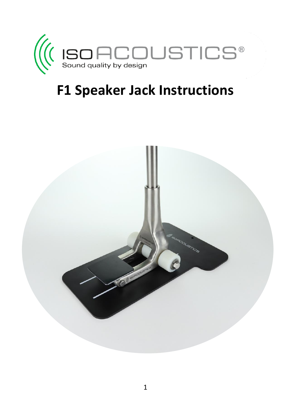

## **F1 Speaker Jack Instructions**

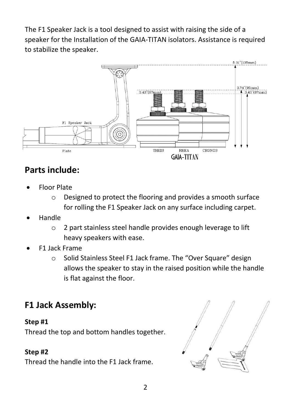The F1 Speaker Jack is a tool designed to assist with raising the side of a speaker for the Installation of the GAIA-TITAN isolators. Assistance is required to stabilize the speaker.



### **Parts include:**

- Floor Plate
	- o Designed to protect the flooring and provides a smooth surface for rolling the F1 Speaker Jack on any surface including carpet.
- Handle
	- o 2 part stainless steel handle provides enough leverage to lift heavy speakers with ease.
- F1 Jack Frame
	- o Solid Stainless Steel F1 Jack frame. The "Over Square" design allows the speaker to stay in the raised position while the handle is flat against the floor.

### **F1 Jack Assembly:**

#### **Step #1**

Thread the top and bottom handles together.

#### **Step #2**

Thread the handle into the F1 Jack frame.

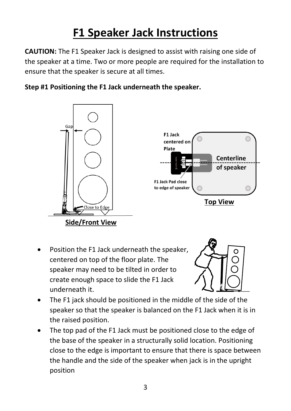## **F1 Speaker Jack Instructions**

**CAUTION:** The F1 Speaker Jack is designed to assist with raising one side of the speaker at a time. Two or more people are required for the installation to ensure that the speaker is secure at all times.

#### **Step #1 Positioning the F1 Jack underneath the speaker.**



 Position the F1 Jack underneath the speaker, centered on top of the floor plate. The speaker may need to be tilted in order to create enough space to slide the F1 Jack underneath it.



- The F1 jack should be positioned in the middle of the side of the speaker so that the speaker is balanced on the F1 Jack when it is in the raised position.
- The top pad of the F1 Jack must be positioned close to the edge of the base of the speaker in a structurally solid location. Positioning close to the edge is important to ensure that there is space between the handle and the side of the speaker when jack is in the upright position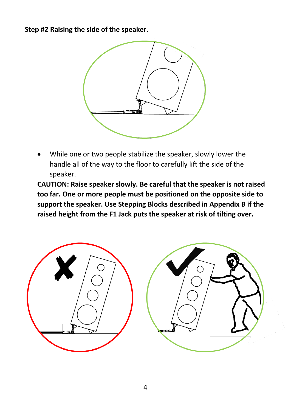**Step #2 Raising the side of the speaker.**



 While one or two people stabilize the speaker, slowly lower the handle all of the way to the floor to carefully lift the side of the speaker.

**CAUTION: Raise speaker slowly. Be careful that the speaker is not raised too far. One or more people must be positioned on the opposite side to support the speaker. Use Stepping Blocks described in Appendix B if the raised height from the F1 Jack puts the speaker at risk of tilting over.**

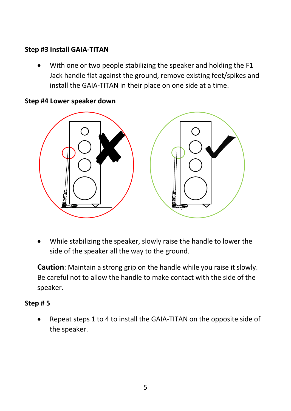#### **Step #3 Install GAIA-TITAN**

 With one or two people stabilizing the speaker and holding the F1 Jack handle flat against the ground, remove existing feet/spikes and install the GAIA-TITAN in their place on one side at a time.

#### **Step #4 Lower speaker down**



 While stabilizing the speaker, slowly raise the handle to lower the side of the speaker all the way to the ground.

**Caution**: Maintain a strong grip on the handle while you raise it slowly. Be careful not to allow the handle to make contact with the side of the speaker.

#### **Step # 5**

 Repeat steps 1 to 4 to install the GAIA-TITAN on the opposite side of the speaker.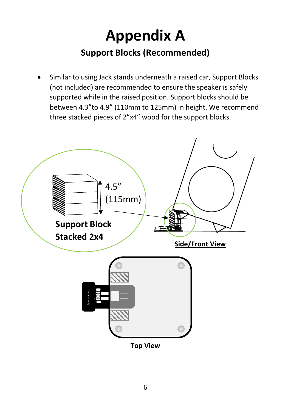## **Appendix A Support Blocks (Recommended)**

 Similar to using Jack stands underneath a raised car, Support Blocks (not included) are recommended to ensure the speaker is safely supported while in the raised position. Support blocks should be between 4.3"to 4.9" (110mm to 125mm) in height. We recommend three stacked pieces of 2"x4" wood for the support blocks.

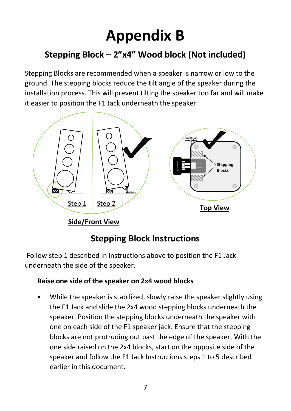# **Appendix B**

## **Stepping Block – 2"x4" Wood block (Not included)**

Stepping Blocks are recommended when a speaker is narrow or low to the ground. The stepping blocks reduce the tilt angle of the speaker during the installation process. This will prevent tilting the speaker too far and will make it easier to position the F1 Jack underneath the speaker.



**Side/Front View**

### **Stepping Block Instructions**

Follow step 1 described in instructions above to position the F1 Jack underneath the side of the speaker.

#### **Raise one side of the speaker on 2x4 wood blocks**

 While the speaker is stabilized, slowly raise the speaker slightly using the F1 Jack and slide the 2x4 wood stepping blocks underneath the speaker. Position the stepping blocks underneath the speaker with one on each side of the F1 speaker jack. Ensure that the stepping blocks are not protruding out past the edge of the speaker. With the one side raised on the 2x4 blocks, start on the opposite side of the speaker and follow the F1 Jack Instructions steps 1 to 5 described earlier in this document.